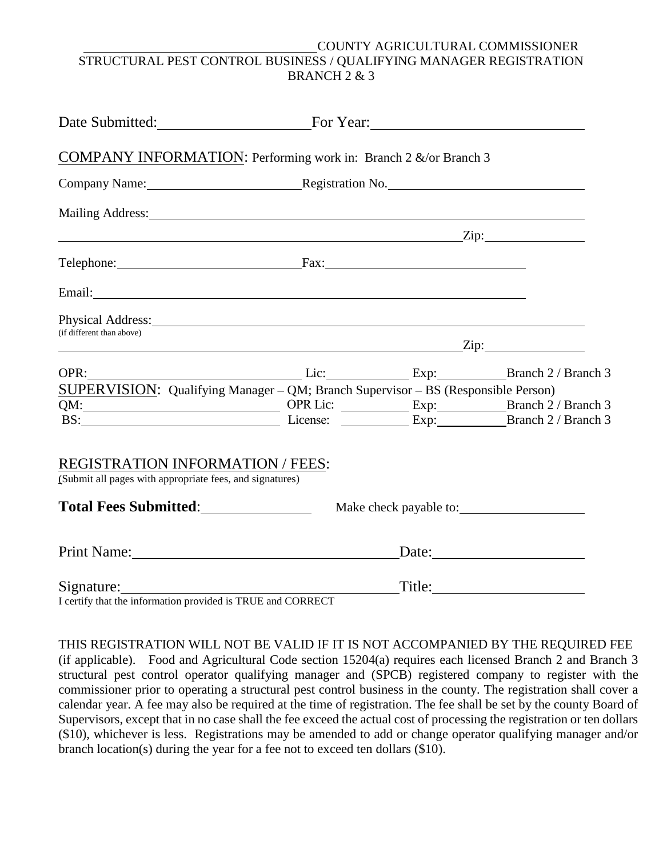## COUNTY AGRICULTURAL COMMISSIONER STRUCTURAL PEST CONTROL BUSINESS / QUALIFYING MANAGER REGISTRATION BRANCH 2 & 3

| Date Submitted: For Year: For Year:                                                                                                                                                                                            |                                    |                |        |  |
|--------------------------------------------------------------------------------------------------------------------------------------------------------------------------------------------------------------------------------|------------------------------------|----------------|--------|--|
| <b>COMPANY INFORMATION:</b> Performing work in: Branch 2 &/or Branch 3                                                                                                                                                         |                                    |                |        |  |
|                                                                                                                                                                                                                                | Company Name: Registration No. No. |                |        |  |
|                                                                                                                                                                                                                                |                                    |                |        |  |
|                                                                                                                                                                                                                                | $\sum$ ip:                         |                |        |  |
| Telephone: Fax: Fax:                                                                                                                                                                                                           |                                    |                |        |  |
| Email: No. 1998. The Commission of the Commission of the Commission of the Commission of the Commission of the Commission of the Commission of the Commission of the Commission of the Commission of the Commission of the Com |                                    |                |        |  |
| Physical Address: 1988 and 2008 and 2008 and 2008 and 2008 and 2008 and 2008 and 2008 and 2008 and 2008 and 20<br>(if different than above)                                                                                    |                                    |                |        |  |
|                                                                                                                                                                                                                                | $\chi$ ip:                         |                |        |  |
| OPR: Branch 2 / Branch 3                                                                                                                                                                                                       |                                    |                |        |  |
| SUPERVISION: Qualifying Manager - QM; Branch Supervisor - BS (Responsible Person)                                                                                                                                              |                                    |                |        |  |
| QM: CHE COPR Lice Exp: Exp: Branch 2 / Branch 3<br>BS: EXP: Exp: Exp: Branch 2 / Branch 3                                                                                                                                      |                                    |                |        |  |
| <b>REGISTRATION INFORMATION / FEES:</b>                                                                                                                                                                                        |                                    |                |        |  |
| (Submit all pages with appropriate fees, and signatures)                                                                                                                                                                       |                                    |                |        |  |
|                                                                                                                                                                                                                                |                                    |                |        |  |
| Print Name: 1988                                                                                                                                                                                                               |                                    | $\text{Date:}$ |        |  |
| Signature:                                                                                                                                                                                                                     |                                    |                | Title: |  |

I certify that the information provided is TRUE and CORRECT

THIS REGISTRATION WILL NOT BE VALID IF IT IS NOT ACCOMPANIED BY THE REQUIRED FEE

 (if applicable). Food and Agricultural Code section 15204(a) requires each licensed Branch 2 and Branch 3 commissioner prior to operating a structural pest control business in the county. The registration shall cover a calendar year. A fee may also be required at the time of registration. The fee shall be set by the county Board of branch location(s) during the year for a fee not to exceed ten dollars (\$10). structural pest control operator qualifying manager and (SPCB) registered company to register with the Supervisors, except that in no case shall the fee exceed the actual cost of processing the registration or ten dollars (\$10), whichever is less. Registrations may be amended to add or change operator qualifying manager and/or